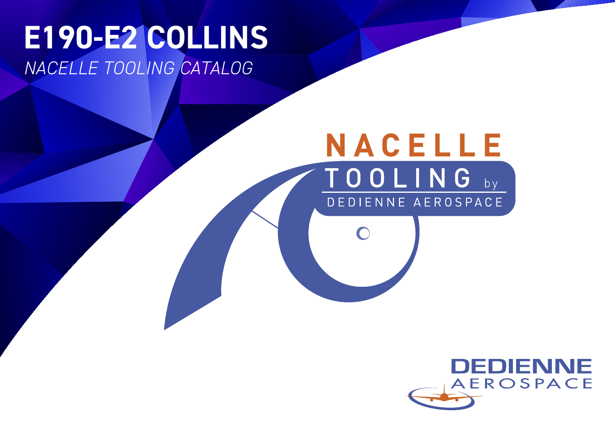# **E190-E2 COLLINS** *NACELLE TOOLING CATALOG*

# NACELLE TOOLING by DEDIENNE AEROSPACE

**College River** 

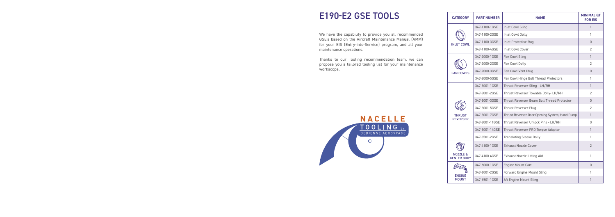| <b>CATEGORY</b>                | <b>PART NUMBER</b> | <b>NAME</b>                                    | <b>MINIMAL QT</b><br><b>FOR EIS</b> |
|--------------------------------|--------------------|------------------------------------------------|-------------------------------------|
|                                | 347-1100-1GSE      | <b>Inlet Cowl Sling</b>                        | $\mathbf{1}$                        |
|                                | 347-1100-2GSE      | <b>Inlet Cowl Dolly</b>                        | 1                                   |
| INI FT COWL                    | 347-1100-3GSE      | <b>Inlet Protective Rug</b>                    | 0                                   |
|                                | 347-1100-4GSE      | <b>Inlet Cowl Cover</b>                        | $\overline{2}$                      |
|                                | 347-2000-1GSE      | Fan Cowl Sling                                 | $\mathbf{1}$                        |
|                                | 347-2000-2GSE      | Fan Cowl Dolly                                 | $\overline{2}$                      |
| <b>FAN COWLS</b>               | 347-2000-3GSE      | Fan Cowl Vent Plug                             | 0                                   |
|                                | 347-2000-5GSE      | Fan Cowl Hinge Bolt Thread Protectors          | 1                                   |
|                                | 347-3001-1GSE      | Thrust Reverser Sling - LH/RH                  | $\mathbf{1}$                        |
|                                | 347-3001-2GSE      | Thrust Reverser Towable Dolly-LH/RH            | $\overline{2}$                      |
|                                | 347-3001-3GSE      | Thrust Reverser Beam Bolt Thread Protector     | 0                                   |
|                                | 347-3001-5GSE      | Thrust Reverser Plug                           | $\overline{2}$                      |
| THRUST<br><b>RFVFRSFR</b>      | 347-3001-7GSE      | Thrust Reverser Door Opening System, Hand Pump | 1                                   |
|                                | 347-3001-11GSE     | Thrust Reverser Unlock Pins - LH/RH            | 0                                   |
|                                | 347-3001-14GSE     | Thrust Reverser PRD Torque Adaptor             | $\mathbf{1}$                        |
|                                | 347-3501-2GSE      | <b>Translating Sleeve Dolly</b>                | 1                                   |
|                                | 347-4100-1GSE      | <b>Exhaust Nozzle Cover</b>                    | $\overline{2}$                      |
| NOZZLE &<br><b>CENTER BODY</b> | 347-4100-4GSE      | Exhaust Nozzle Lifting Aid                     | 1                                   |
|                                | 347-6000-1GSE      | Engine Mount Cart                              | 0                                   |
| <b>FNGINF</b>                  | 347-6001-2GSE      | Forward Engine Mount Sling                     | 1                                   |
| <b>MOUNT</b>                   | 347-6501-1GSE      | Aft Engine Mount Sling                         | 1                                   |

## E190-E2 GSE TOOLS









 $\mathbb{R}$ **ENGINE MOUNT** 



We have the capability to provide you all recommended GSE's based on the Aircraft Maintenance Manual (AMM) for your EIS (Entry-into-Service) program, and all your maintenance operations.

Thanks to our Tooling recommendation team, we can propose you a tailored tooling list for your maintenance workscope.

 $\circ$ 

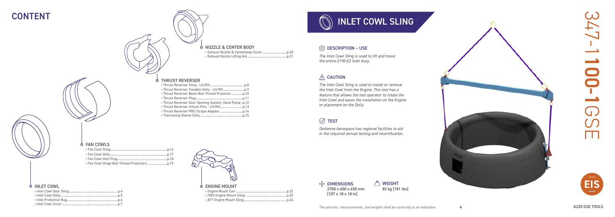

# INLET COWL SLING

#### **Q** DESCRIPTION – USE

*The Inlet Cowl Sling is used to lift and move the entire E190-E2 Inlet Assy.*

#### $\triangle$  CAUTION

 $\overline{\oplus}$  dimensions 2700 x 450 x 450 mm [107 x 18 x 18 in]

#### **A** WEIGHT 82 kg [181 lbs]

*The Inlet Cowl Sling is used to install or remove the Inlet Cowl from the Engine. This tool has a feature that allows the tool operator to rotate the Inlet Cowl and eases the installation on the Engine or placement on the Dolly.*

#### $\oslash$  TEST

*Dedienne Aerospace has regional facilities to aid in the required annual testing and recertification.*

#### **b** FAN COWLS

## CONTENT



› Engine Mount Cart ...........................................................p.22 › FWD Engine Mount Sling ................................................p.23 > AFT Engine Mount Sling...

#### **b** INLET COWL

| > Thrust Reverser Door Opening System, Hand Pump.p.12 |
|-------------------------------------------------------|
|                                                       |
|                                                       |
|                                                       |

| <b>O NOZZLE &amp; CENTER BODY</b> |  |
|-----------------------------------|--|
|                                   |  |
|                                   |  |
|                                   |  |

#### **b** THRUST REVERSER



4

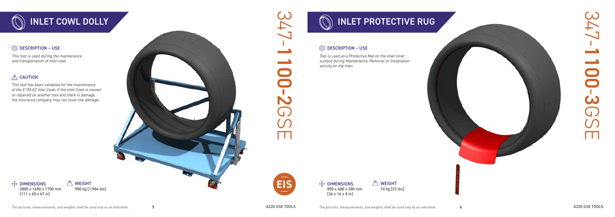



*This tool is used during the maintenance and transportation of inlet cowl.* 

#### $\triangle$  CAUTION

 $\overline{\oplus}$  dimensions

2800 x 1650 x 1700 mm  $[111 \times 65 \times 67$  in]

 $\overline{\oplus}$  dimensions 850 x 400 x 200 mm [34 x 16 x 8 in]

**A** WEIGHT 10 kg [23 lbs]

*This tool has been validated for the maintenance of the E190-E2 Inlet Cowl. If the Inlet Cowl is moved or repaired on another tool and there is damage, the insurance company may not cover the damage.*



900 kg [1,984 lbs]

5

6



 $\triangle$  WEIGHT

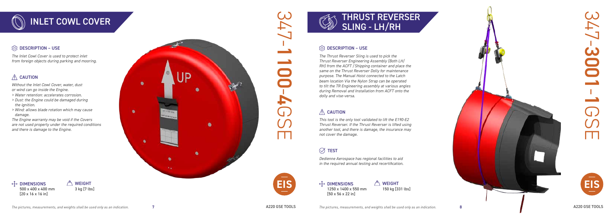



# 347-30011G<br>H





#### **CO** DESCRIPTION – USE



#### **OB** DESCRIPTION – USE

*The Inlet Cowl Cover is used to protect inlet from foreign objects during parking and mooring.* 

#### $\hat{M}$  CAUTION

*Without the Inlet Cowl Cover, water, dust* 

 $\sqrt{2}$  WEIGHT 3 kg [7 lbs]

- *or wind can go inside the Engine.*
- *> Water retention: accelerates corrosion.*
- *> Dust: the Engine could be damaged during the ignition.*
- *> Wind: allows blade rotation which may cause damage.*

*The Engine warranty may be void if the Covers are not used properly under the required conditions and there is damage to the Engine.*

 $\oplus$  dimensions 500 x 400 x 400 mm  $[20 \times 16 \times 16]$  in

 $\oplus$  dimensions 1250 x 1400 x 550 mm [50 x 56 x 22 in]

 $\sqrt{2}$  WEIGHT 150 kg [331 lbs]

*The Thrust Reverser Sling is used to pick the Thrust Reverser Engineering Assembly (Both LH/ RH) from the ACFT /Shipping container and place the same on the Thrust Reverser Dolly for maintenance purpose. The Manual Hoist connected to the Latch beam location Via the Nylon Strap can be operated to tilt the TR Engineering assembly at various angles during Removal and Installation from ACFT onto the dolly and vise-versa.* 

#### $\triangle$  CAUTION

*This tool is the only tool validated to lift the E190-E2 Thrust Reverser. If the Thrust Reverser is lifted using another tool, and there is damage, the insurance may not cover the damage.*

## $\oslash$  TEST

*Dedienne Aerospace has regional facilities to aid in the required annual testing and recertification.*



7

8

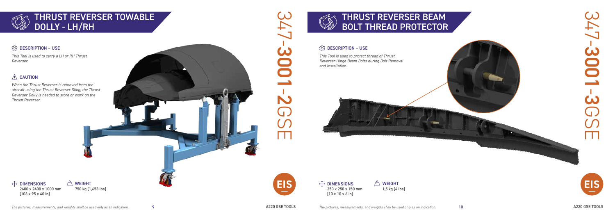





## THRUST REVERSER TOWABLE DOLLY - LH/RH

#### **CO** DESCRIPTION – USE



#### **<u>C</u>** DESCRIPTION – USE

 $\oplus$  dimensions 2600 x 2400 x 1000 mm [103 x 95 x 40 in] **A** WEIGHT 750 kg [1,653 lbs]



*This Tool is used to carry a LH or RH Thrust Reverser.*

#### $\triangle$  CAUTION

 $\sqrt{2}$  WEIGHT 1,5 kg [4 lbs]

 $\oplus$  dimensions 250 x 250 x 150 mm [10 x 10 x 6 in] **EIS EIS**

*When the Thrust Reverser is removed from the aircraft using the Thrust Reverser Sling, the Thrust Reverser Dolly is needed to store or work on the Thrust Reverser.*



*This Tool is used to protect thread of Thrust Reverser Hinge Beam Bolts during Bolt Removal and Installation.*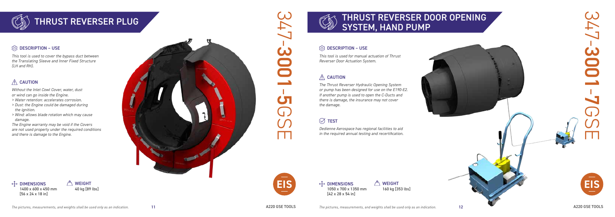

## THRUST REVERSER PLUG AND THRUST REVERSER DOOR OPENING SYSTEM, HAND PUMP

#### **OB** DESCRIPTION – USE

*This tool is used to cover the bypass duct between the Translating Sleeve and Inner Fixed Structure (LH and RH).*

#### $\hat{A}$  CAUTION

 $\oplus$  dimensions 1400 x 600 x 450 mm [56 x 24 x 18 in]

 $\sqrt{2}$  WEIGHT 40 kg [89 lbs]

*Without the Inlet Cowl Cover, water, dust or wind can go inside the Engine.*

- *> Water retention: accelerates corrosion.*
- *> Dust: the Engine could be damaged during the ignition.*
- *> Wind: allows blade rotation which may cause damage.*

 $\oplus$  DIMENSIONS 1050 x 700 x 1350 mm [42 x 28 x 54 in]

 $\sqrt{2}$  WEIGHT 160 kg [353 lbs]



*The Engine warranty may be void if the Covers are not used properly under the required conditions and there is damage to the Engine.*





*This tool is used for manual actuation of Thrust Reverser Door Actuation System.* 

### $\triangle$  CAUTION

*The Thrust Reverser Hydraulic Opening System or pump has been designed for use on the E190-E2. If another pump is used to open the C-Ducts and there is damage, the insurance may not cover the damage.*

## $\oslash$  TEST

*Dedienne Aerospace has regional facilities to aid in the required annual testing and recertification.*

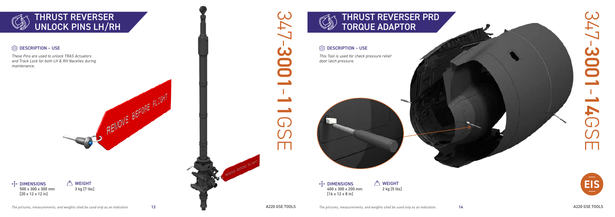





#### **<u>@</u>** DESCRIPTION – USE

 $\oplus$  dimensions 400 x 300 x 200 mm [16 x 12 x 8 in]

**A** WEIGHT 2 kg [5 lbs]

*These Pins are used to unlock TRAS Actuators and Track Lock for both LH & RH Nacelles during maintenance.*

*This Tool is used for check pressure relief door latch pressure.*







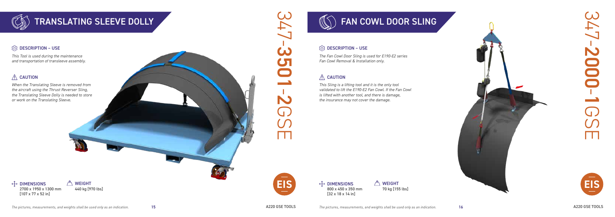



#### **<u>@</u>** DESCRIPTION – USE

*This Tool is used during the maintenance and transportation of transleeve assembly.*

#### $\triangle$  CAUTION

*When the Translating Sleeve is removed from the aircraft using the Thrust Reverser Sling, the Translating Sleeve Dolly is needed to store or work on the Translating Sleeve.*



 $\oplus$  dimensions 2700 x 1950 x 1300 mm [107 x 77 x 52 in] A WEIGHT 440 kg [970 lbs]



 $\oplus$  dimensions 800 x 450 x 350 mm [32 x 18 x 14 in]

**A** WEIGHT 70 kg [155 lbs]





*The Fan Cowl Door Sling is used for E190-E2 series Fan Cowl Removal & Installation only.*

#### $\triangle$  CAUTION

*This Sling is a lifting tool and it is the only tool validated to lift the E190-E2 Fan Cowl. If the Fan Cowl is lifted with another tool, and there is damage, the insurance may not cover the damage.*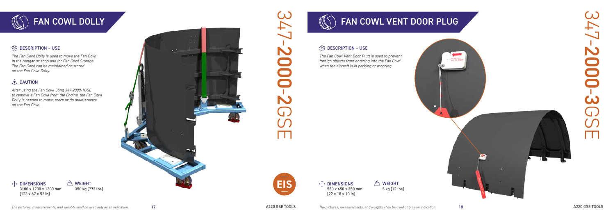





*The Fan Cowl Dolly is used to move the Fan Cowl in the hangar or shop and for Fan Cowl Storage. The Fan Cowl can be maintained or stored on the Fan Cowl Dolly.*

#### $\triangle$  CAUTION

 $\overline{\oplus}$  dimensions

 $\oplus$  dimensions 550 x 450 x 250 mm [22 x 18 x 10 in]

**<u>C</u>** DESCRIPTION – USE

**A** WEIGHT 5 kg [12 lbs]

**A** WEIGHT

*After using the Fan Cowl Sling 347-2000-1GSE to remove a Fan Cowl from the Engine, the Fan Cowl Dolly is needed to move, store or do maintenance on the Fan Cowl.*

*The Fan Cowl Vent Door Plug is used to prevent foreign objects from entering into the Fan Cowl when the aircraft is in parking or mooring.*

3100 x 1700 x 1300 mm [123 x 67 x 52 in]

350 kg [772 lbs]





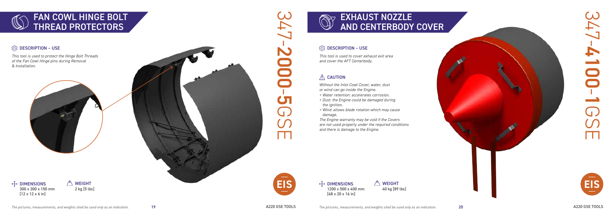

# EXHAUST NOZZLE AND CENTERBODY COVER

#### **<u>C</u>** DESCRIPTION – USE

*This tool is used to protect the Hinge Bolt Threads of the Fan Cowl Hinge pins during Removal & Installation.* 







 $\int_{0}^{\infty}$  WEIGHT 40 kg [89 lbs]



*This tool is used to cover exhaust exit area and cover the AFT Centerbody.* 

#### $\triangle$  CAUTION

*Without the Inlet Cowl Cover, water, dust or wind can go inside the Engine.*

- *> Water retention: accelerates corrosion.*
- *> Dust: the Engine could be damaged during the ignition.*
- *> Wind: allows blade rotation which may cause damage.*

*The Engine warranty may be void if the Covers are not used properly under the required conditions and there is damage to the Engine.*



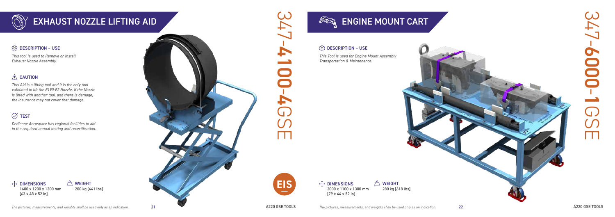





#### **<u>@</u>** DESCRIPTION – USE

*This tool is used to Remove or Install Exhaust Nozzle Assembly.* 

#### $\triangle$  CAUTION

 $\overline{\oplus}$  dimensions 1600 x 1200 x 1300 mm [63 x 48 x 52 in]  $\int_{0}^{\infty}$  Weight 200 kg [441 lbs]

 $\oplus$  dimensions 2000 x 1100 x 1300 mm [79 x 44 x 52 in]

*This Aid is a lifting tool and it is the only tool validated to lift the E190-E2 Nozzle. If the Nozzle is lifted with another tool, and there is damage, the insurance may not cover that damage.*

#### $\oslash$  TEST

**A** WEIGHT 280 kg [618 lbs]

*Dedienne Aerospace has regional facilities to aid in the required annual testing and recertification.* *This Tool is used for Engine Mount Assembly Transportation & Maintenance.*



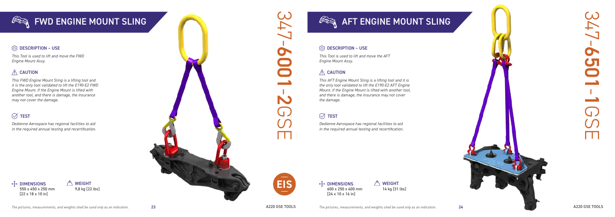



*This Tool is used to lift and move the FWD Engine Mount Assy.*

#### $\triangle$  CAUTION

*This FWD Engine Mount Sling is a lifting tool and it is the only tool validated to lift the E190-E2 FWD Engine Mount. If the Engine Mount is lifted with another tool, and there is damage, the insurance may not cover the damage.*

#### $\oslash$  TEST

 $\oplus$  dimensions 550 x 450 x 250 mm [22 x 18 x 10 in]  $\curvearrowleft$  WEIGHT 9,8 kg [22 lbs]







# $\begin{array}{cc} \mathcal{F} & \mathcal{F} \rightarrow \mathcal{F} \rightarrow \mathcal{F} \rightarrow \mathcal{F} \rightarrow \mathcal{F} \rightarrow \mathcal{F} \rightarrow \mathcal{F} \rightarrow \mathcal{F} \rightarrow \mathcal{F} \rightarrow \mathcal{F} \rightarrow \mathcal{F} \rightarrow \mathcal{F} \rightarrow \mathcal{F} \rightarrow \mathcal{F} \rightarrow \mathcal{F} \rightarrow \mathcal{F} \rightarrow \mathcal{F} \rightarrow \mathcal{F} \rightarrow \mathcal{F} \rightarrow \mathcal{F} \rightarrow \mathcal{F} \rightarrow \mathcal{F} \rightarrow \mathcal{F} \rightarrow \mathcal{F} \rightarrow \mathcal{F} \rightarrow \mathcal{F}$

#### **<u>@</u>** DESCRIPTION – USE

 $\oplus$  dimensions 600 x 250 x 400 mm [24 x 10 x 16 in]

*Dedienne Aerospace has regional facilities to aid in the required annual testing and recertification.*

> $\curvearrowleft$  WEIGHT 14 kg [31 lbs]

*This Tool is used to lift and move the AFT Engine Mount Assy.*

#### $\triangle$  CAUTION

*This AFT Engine Mount Sling is a lifting tool and it is the only tool validated to lift the E190-E2 AFT Engine Mount. If the Engine Mount is lifted with another tool, and there is damage, the insurance may not cover the damage.*

#### $\oslash$  TEST

*Dedienne Aerospace has regional facilities to aid in the required annual testing and recertification.*

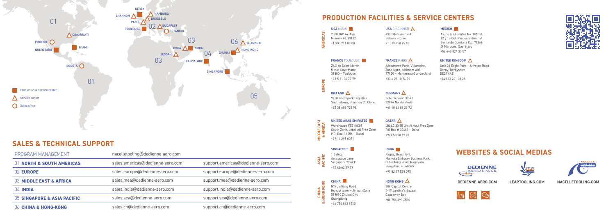

#### **SALES & TECHNICAL SUPPORT**

#### **USA** CINCINNATI **A** 4330 Batavia road Batavia – Ohio +1 513 658 75 45

| PROGRAM MANAGEMENT          | nacelletooling@dedienne-aero.com |                                    |
|-----------------------------|----------------------------------|------------------------------------|
| 01 NORTH & SOUTH AMERICAS   | sales.americas@dedienne-aero.com | support.americas@dedienne-aero.com |
| 02 EUROPE                   | sales.europe@dedienne-aero.com   | support.europe@dedienne-aero.com   |
| 03 MIDDLE EAST & AFRICA     | sales.mea@dedienne-aero.com      | support.mea@dedienne-aero.com      |
| $04$ INDIA                  | sales.india@dedienne-aero.com    | support.india@dedienne-aero.com    |
| 05 SINGAPORE & ASIA PACIFIC | sales.sea@dedienne-aero.com      | support.sea@dedienne-aero.com      |
| 06 CHINA & HONG-KONG        | sales.cn@dedienne-aero.com       | support.cn@dedienne-aero.com       |

**DEDIENNE-AERO.COM LEAPTOOLING.COM NACELLETOOLING.COM**



## **WEBSITES & SOCIAL MEDIAS**









**MEXICO**

Av. de las Fuentes No. 106 Int. 12 y 13 Col. Parque Industrial Bernardo Quintana C.p. 76246 El Marqués, Querétaro +52 442 824 35 57

| AMERICAS | <b>USA MIAMI</b><br>2500 NW 74, Ave<br>Miami - FL 33122<br>+1 305 716 83 00                                   |
|----------|---------------------------------------------------------------------------------------------------------------|
|          | <b>FRANCE TOULOUSE</b><br>ZAC de Saint-Martin<br>5, rue Gaye Marie<br>$31300 - Toulouse$<br>+33 5 61 06 77 79 |
| EUROPE   | IRELAND $\Delta$<br>9/10 Beechpark Logistics                                                                  |

Aérodrome Paris-Villaroche, Zone Nord, bâtiment A08 77950 – Montereau-Sur-Le-Jard +33 6 28 10 76 79

#### **GERMANY**  $\triangle$

#### **UNITED KINGDOM**

Unit 28 Eagle Park – Alfreton Road Derby, Derbyshire

DE21 4AE

#### **FRANCE PARIS A**

+44 133 261 38 28



Smithstown, Shannon Co.Clare +35 38 606 728 98

Schützenwall 37-41 22844 Norderstedt +49 40 66 89 29 72

**MIDDLE EAST & AFRICA**

**MIDDLE EAST**<br>& AFRICA

**UNITED ARAB EMIRATES** Warehouse FZS1AC01 South Zone, Jebel Ali Free Zone P.O. Box: 18056 – Dubai +971 4 295 0071

#### **QATAR**

LIU LG 33-35 Um Al Houl Free Zone P.O Box # 30661 – Doha +974 50 58 67 87

#### **SINGAPORE**

**ASIA PACIFIC** 1 Seletar Aerospace Lane Singapore 797435 +65 62 62 59 79

**INDIA** 

#### **HONG KONG**  $\Delta$

Regus, Beech E-1, Manyata Embassy Business Park, Outer Ring Road, Nagavara, Bengaluru – 560045 +91 82 17 588 075



806 Capitol Centre 5-19 Jardine's Bazaar Causeway Bay +86 756 893 6510

## **PRODUCTION FACILITIES & SERVICE CENTERS**